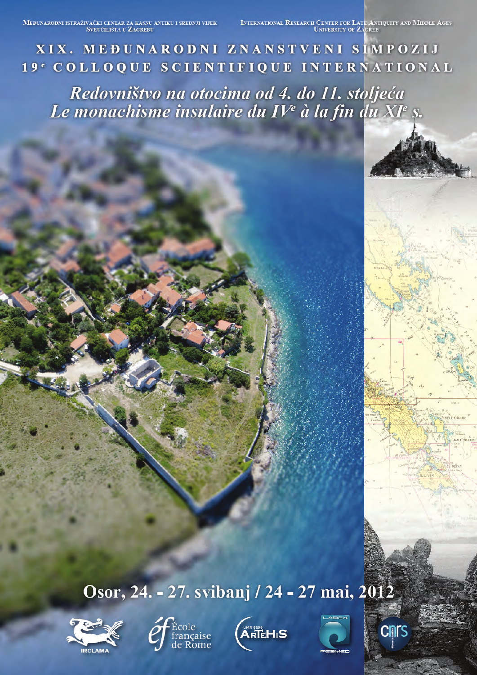MEĐUNARODNI ISTRAŽIVAČKI CENTAR ZA KASNU ANTIKU I SREDNJI VIJEKNA U ČALENIČILIŠTA U ŽAGREBU

INTERNATIONAL RESEARCH CENTER FOR LATE ANTIQUITY AND MIDDLE AGES

XIX. MEĐUNARODNI ZNANSTVENI SIMPOZIJ 19<sup>e</sup> COLLOQUE SCIENTIFIQUE INTERNATIONAL

Redovništvo na otocima od 4. do 11. stoljeća Le monachisme insulaire du IV<sup>e</sup> à la fin du XI<sup>e</sup> s.

Osor, 24. - 27. svibanj / 24 - 27 mai, 2012









**Cnrs**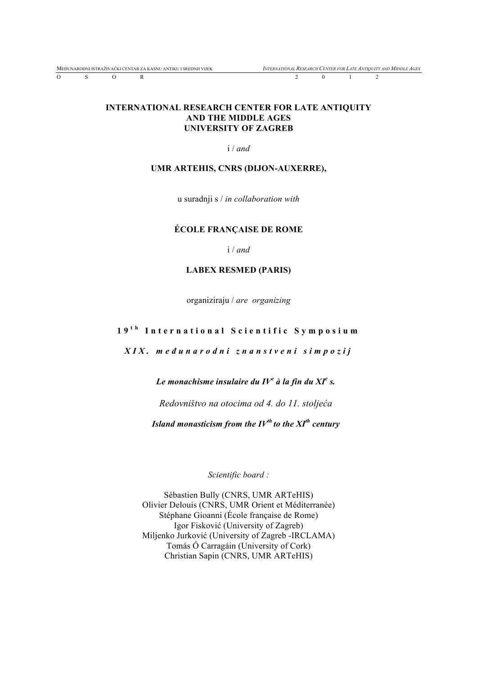O S O R 2 0 1 2

#### **INTERNATIONAL RESEARCH CENTER FOR LATE ANTIQUITY AND THE MIDDLE AGES UNIVERSITY OF ZAGREB**

i / *and*

#### **UMR ARTEHIS, CNRS (DIJON-AUXERRE),**

u suradnji s / *in collaboration with*

#### **ÉCOLE FRANÇAISE DE ROME**

i / *and*

#### **LABEX RESMED (PARIS)**

organiziraju / *are organizing*

#### **1 9 t h International Scientific Symposium**

*XIX. me đ u narodni znanstveni simpozij*

*Le monachisme insulaire du IV<sup>e</sup> à la fin du XI<sup>e</sup> s.*

*Redovništvo na otocima od 4. do 11. stoljeća*

*Island monasticism from the IVth to the XIth century*

*Scientific board :*

Sébastien Bully (CNRS, UMR ARTeHIS) Olivier Delouis (CNRS, UMR Orient et Méditerranée) Stéphane Gioanni (École française de Rome) Igor Fisković (University of Zagreb) Miljenko Jurković (University of Zagreb -IRCLAMA) Tomás Ó Carragáin (University of Cork) Christian Sapin (CNRS, UMR ARTeHIS)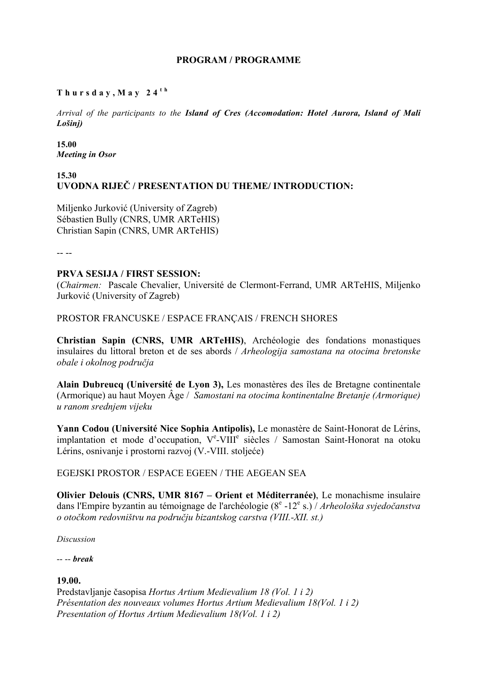# **PROGRAM / PROGRAMME**

# **Thursday,May 24 t h**

*Arrival of the participants to the Island of Cres (Accomodation: Hotel Aurora, Island of Mali Lošinj)*

**15.00** *Meeting in Osor*

# **15.30 UVODNA RIJEČ / PRESENTATION DU THEME/ INTRODUCTION:**

Miljenko Jurković (University of Zagreb) Sébastien Bully (CNRS, UMR ARTeHIS) Christian Sapin (CNRS, UMR ARTeHIS)

-- --

# **PRVA SESIJA / FIRST SESSION:**

(*Chairmen:* Pascale Chevalier, Université de Clermont-Ferrand, UMR ARTeHIS, Miljenko Jurković (University of Zagreb)

PROSTOR FRANCUSKE / ESPACE FRANÇAIS / FRENCH SHORES

**Christian Sapin (CNRS, UMR ARTeHIS)**, Archéologie des fondations monastiques insulaires du littoral breton et de ses abords / *Arheologija samostana na otocima bretonske obale i okolnog područja*

**Alain Dubreucq (Université de Lyon 3),** Les monastères des îles de Bretagne continentale (Armorique) au haut Moyen Âge / *Samostani na otocima kontinentalne Bretanje (Armorique) u ranom srednjem vijeku*

**Yann Codou (Université Nice Sophia Antipolis),** Le monastère de Saint-Honorat de Lérins, implantation et mode d'occupation, Ve-VIII<sup>e</sup> siècles / Samostan Saint-Honorat na otoku Lérins, osnivanje i prostorni razvoj (V.-VIII. stoljeće)

# EGEJSKI PROSTOR / ESPACE EGEEN / THE AEGEAN SEA

**Olivier Delouis (CNRS, UMR 8167 – Orient et Méditerranée)**, Le monachisme insulaire dans l'Empire byzantin au témoignage de l'archéologie (8<sup>e</sup> -12e s.) / *Arheološka svjedočanstva o otočkom redovništvu na području bizantskog carstva (VIII.-XII. st.)*

*Discussion*

-- -- *break*

# **19.00.**

Predstavljanje časopisa *Hortus Artium Medievalium 18 (Vol. 1 i 2) Présentation des nouveaux volumes Hortus Artium Medievalium 18(Vol. 1 i 2) Presentation of Hortus Artium Medievalium 18(Vol. 1 i 2)*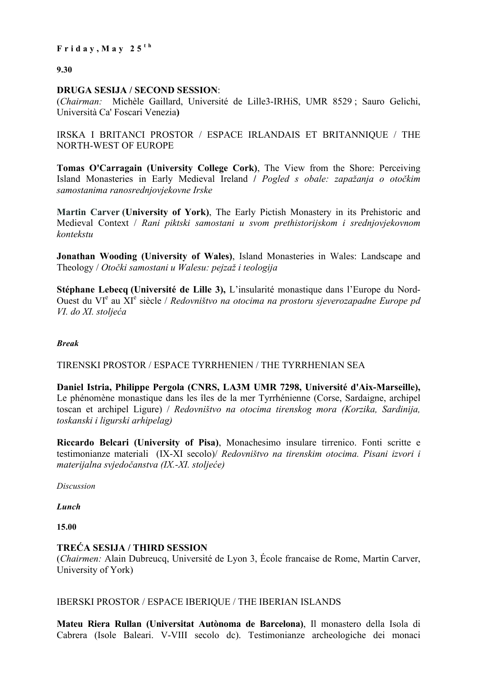**9.30**

# **DRUGA SESIJA / SECOND SESSION**:

(*Chairman:* Michèle Gaillard, Université de Lille3-IRHiS, UMR 8529 ; Sauro Gelichi, Università Ca' Foscari Venezia**)**

IRSKA I BRITANCI PROSTOR / ESPACE IRLANDAIS ET BRITANNIQUE / THE NORTH-WEST OF EUROPE

**Tomas O'Carragain (University College Cork)**, The View from the Shore: Perceiving Island Monasteries in Early Medieval Ireland **/** *Pogled s obale: zapažanja o otočkim samostanima ranosrednjovjekovne Irske*

**Martin Carver (University of York)**, The Early Pictish Monastery in its Prehistoric and Medieval Context / *Rani piktski samostani u svom prethistorijskom i srednjovjekovnom kontekstu*

**Jonathan Wooding (University of Wales)**, Island Monasteries in Wales: Landscape and Theology / *Otočki samostani u Walesu: pejzaž i teologija*

**Stéphane Lebecq (Université de Lille 3),** L'insularité monastique dans l'Europe du Nord-Ouest du VI<sup>e</sup> au XI<sup>e</sup> siècle / *Redovništvo na otocima na prostoru sjeverozapadne Europe pd VI. do XI. stoljeća*

# *Break*

TIRENSKI PROSTOR / ESPACE TYRRHENIEN / THE TYRRHENIAN SEA

**Daniel Istria, Philippe Pergola (CNRS, LA3M UMR 7298, Université d'Aix-Marseille),** Le phénomène monastique dans les îles de la mer Tyrrhénienne (Corse, Sardaigne, archipel toscan et archipel Ligure) / *Redovništvo na otocima tirenskog mora (Korzika, Sardinija, toskanski i ligurski arhipelag)*

**Riccardo Belcari (University of Pisa)**, Monachesimo insulare tirrenico. Fonti scritte e testimonianze materiali (IX-XI secolo)/ *Redovništvo na tirenskim otocima. Pisani izvori i materijalna svjedočanstva (IX.-XI. stoljeće)*

*Discussion*

*Lunch*

**15.00**

# **TREĆA SESIJA / THIRD SESSION**

(*Chairmen:* Alain Dubreucq, Université de Lyon 3, École francaise de Rome, Martin Carver, University of York)

IBERSKI PROSTOR / ESPACE IBERIQUE / THE IBERIAN ISLANDS

**Mateu Riera Rullan (Universitat Autònoma de Barcelona)**, Il monastero della Isola di Cabrera (Isole Baleari. V-VIII secolo dc). Testimonianze archeologiche dei monaci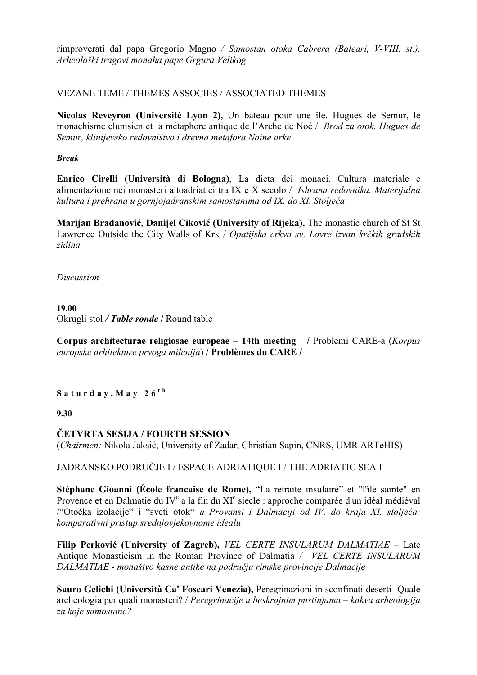rimproverati dal papa Gregorio Magno */ Samostan otoka Cabrera (Baleari, V-VIII. st.). Arheološki tragovi monaha pape Grgura Velikog*

# VEZANE TEME / THEMES ASSOCIES / ASSOCIATED THEMES

**Nicolas Reveyron (Université Lyon 2),** Un bateau pour une île. Hugues de Semur, le monachisme clunisien et la métaphore antique de l'Arche de Noé / *Brod za otok. Hugues de Semur, klinijevsko redovništvo i drevna metafora Noine arke*

*Break*

**Enrico Cirelli (Università di Bologna)**, La dieta dei monaci. Cultura materiale e alimentazione nei monasteri altoadriatici tra IX e X secolo / *Ishrana redovnika. Materijalna kultura i prehrana u gornjojadranskim samostanima od IX. do XI. Stoljeća*

**Marijan Bradanović, Danijel Ciković (University of Rijeka),** The monastic church of St St Lawrence Outside the City Walls of Krk / *Opatijska crkva sv. Lovre izvan krčkih gradskih zidina*

*Discussion*

**19.00** Okrugli stol */ Table ronde* **/** Round table

**Corpus architecturae religiosae europeae – 14th meeting /** Problemi CARE-a (*Korpus europske arhitekture prvoga milenija*) **/ Problèmes du CARE /** 

**Saturday,May 26 t h**

**9.30**

**ČETVRTA SESIJA / FOURTH SESSION**

(*Chairmen:* Nikola Jaksić, University of Zadar, Christian Sapin, CNRS, UMR ARTeHIS)

JADRANSKO PODRUČJE I / ESPACE ADRIATIQUE I / THE ADRIATIC SEA I

**Stéphane Gioanni (École francaise de Rome), "La retraite insulaire" et "l'île sainte" en** Provence et en Dalmatie du IV<sup>e</sup> a la fin du XI<sup>e</sup> siecle : approche comparée d'un idéal médiéval /"Otočka izolacije" i "sveti otok" *u Provansi i Dalmaciji od IV. do kraja XI. stoljeća: komparativni pristup srednjovjekovnome idealu*

**Filip Perković (University of Zagreb),** *VEL CERTE INSULARUM DALMATIAE –* Late Antique Monasticism in the Roman Province of Dalmatia */ VEL CERTE INSULARUM DALMATIAE - monaštvo kasne antike na području rimske provincije Dalmacije*

**Sauro Gelichi (Università Ca' Foscari Venezia),** Peregrinazioni in sconfinati deserti -Quale archeologia per quali monasteri? / *Peregrinacije u beskrajnim pustinjama – kakva arheologija za koje samostane?*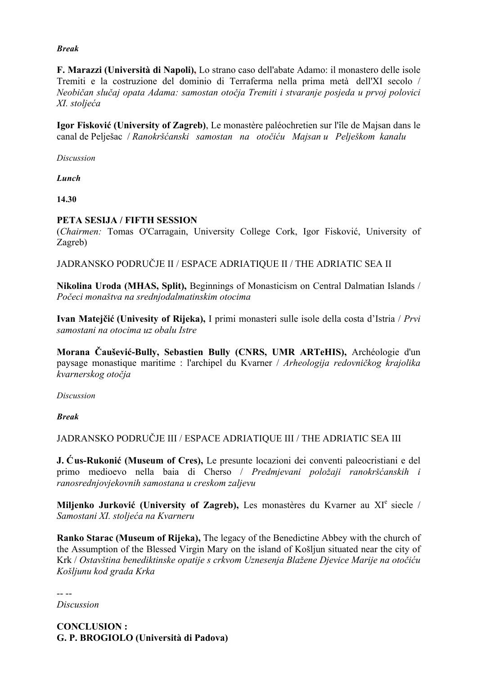# *Break*

**F. Marazzi (Università di Napoli),** Lo strano caso dell'abate Adamo: il monastero delle isole Tremiti e la costruzione del dominio di Terraferma nella prima metà dell'XI secolo / *Neobičan slučaj opata Adama: samostan otočja Tremiti i stvaranje posjeda u prvoj polovici XI. stoljeća*

**Igor Fisković (University of Zagreb)**, Le monastère paléochretien sur l'île de Majsan dans le canal de Pelješac / *Ranokršćanski samostan na otočiću Majsan u Pelješkom kanalu*

*Discussion*

*Lunch*

**14.30**

# **PETA SESIJA / FIFTH SESSION**

(*Chairmen:* Tomas O'Carragain, University College Cork, Igor Fisković, University of Zagreb)

JADRANSKO PODRUČJE II / ESPACE ADRIATIQUE II / THE ADRIATIC SEA II

**Nikolina Uroda (MHAS, Split),** Beginnings of Monasticism on Central Dalmatian Islands / *Počeci monaštva na srednjodalmatinskim otocima*

**Ivan Matejčić (Univesity of Rijeka),** I primi monasteri sulle isole della costa d'Istria / *Prvi samostani na otocima uz obalu Istre*

**Morana Čaušević-Bully, Sebastien Bully (CNRS, UMR ARTeHIS),** Archéologie d'un paysage monastique maritime : l'archipel du Kvarner / *Arheologija redovničkog krajolika kvarnerskog otočja*

*Discussion*

*Break*

JADRANSKO PODRUČJE III / ESPACE ADRIATIQUE III / THE ADRIATIC SEA III

**J. Ćus-Rukonić (Museum of Cres),** Le presunte locazioni dei conventi paleocristiani e del primo medioevo nella baia di Cherso / *Predmjevani položaji ranokršćanskih i ranosrednjovjekovnih samostana u creskom zaljevu*

**Miljenko Jurković (University of Zagreb),** Les monastères du Kvarner au XIe siecle / *Samostani XI. stoljeća na Kvarneru*

**Ranko Starac (Museum of Rijeka),** The legacy of the Benedictine Abbey with the church of the Assumption of the Blessed Virgin Mary on the island of Košljun situated near the city of Krk / *Ostavština benediktinske opatije s crkvom Uznesenja Blažene Djevice Marije na otočiću Košljunu kod grada Krka*

-- --

*Discussion*

**CONCLUSION : G. P. BROGIOLO (Università di Padova)**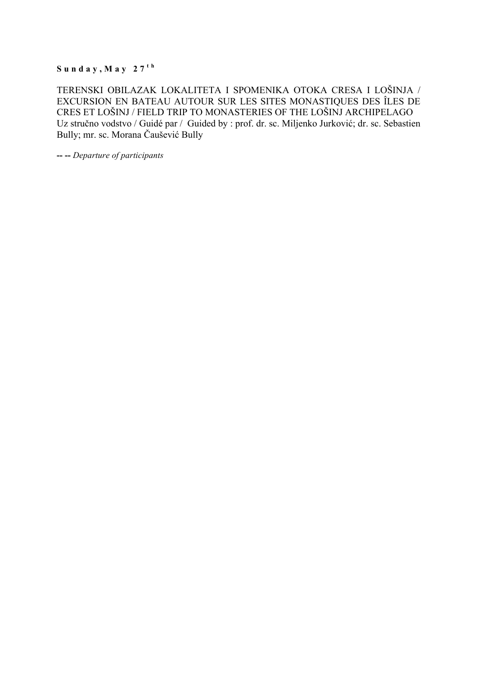$S$ **u**  $n$ **d**  $a$ **y**,  $M$ **ay**  $27$ <sup>th</sup>

TERENSKI OBILAZAK LOKALITETA I SPOMENIKA OTOKA CRESA I LOŠINJA / EXCURSION EN BATEAU AUTOUR SUR LES SITES MONASTIQUES DES ÎLES DE CRES ET LOŠINJ / FIELD TRIP TO MONASTERIES OF THE LOŠINJ ARCHIPELAGO Uz stručno vodstvo / Guidé par / Guided by : prof. dr. sc. Miljenko Jurković; dr. sc. Sebastien Bully; mr. sc. Morana Čaušević Bully

**-- --** *Departure of participants*